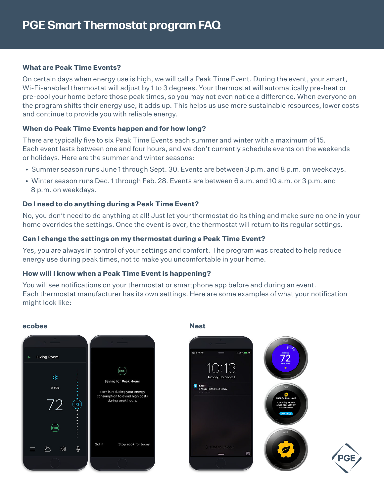#### **What are Peak Time Events?**

On certain days when energy use is high, we will call a Peak Time Event. During the event, your smart, Wi-Fi-enabled thermostat will adjust by 1 to 3 degrees. Your thermostat will automatically pre-heat or pre-cool your home before those peak times, so you may not even notice a difference. When everyone on the program shifts their energy use, it adds up. This helps us use more sustainable resources, lower costs and continue to provide you with reliable energy.

# **When do Peak Time Events happen and for how long?**

There are typically five to six Peak Time Events each summer and winter with a maximum of 15. Each event lasts between one and four hours, and we don't currently schedule events on the weekends or holidays. Here are the summer and winter seasons:

- Summer season runs June 1 through Sept. 30. Events are between 3 p.m. and 8 p.m. on weekdays.
- Winter season runs Dec. 1 through Feb. 28. Events are between 6 a.m. and 10 a.m. or 3 p.m. and 8 p.m. on weekdays.

#### **Do I need to do anything during a Peak Time Event?**

No, you don't need to do anything at all! Just let your thermostat do its thing and make sure no one in your home overrides the settings. Once the event is over, the thermostat will return to its regular settings.

#### **Can I change the settings on my thermostat during a Peak Time Event?**

Yes, you are always in control of your settings and comfort. The program was created to help reduce energy use during peak times, not to make you uncomfortable in your home.

#### **How will I know when a Peak Time Event is happening?**

You will see notifications on your thermostat or smartphone app before and during an event. Each thermostat manufacturer has its own settings. Here are some examples of what your notification might look like:

#### **ecobee Nest**



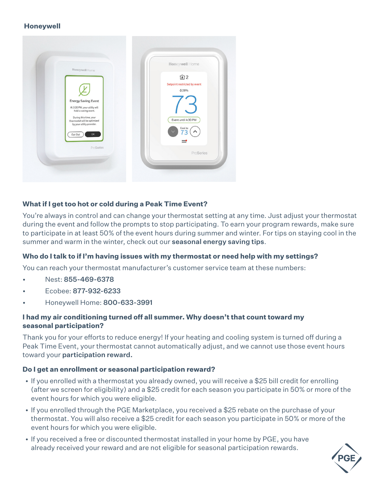#### **Honeywell**



# **What if I get too hot or cold during a Peak Time Event?**

You're always in control and can change your thermostat setting at any time. Just adjust your thermostat during the event and follow the prompts to stop participating. To earn your program rewards, make sure to participate in at least 50% of the event hours during summer and winter. For tips on staying cool in the summer and warm in the winter, check out our **[seasonal energy saving tips](https://portlandgeneral.com/save-money/save-money-home/high-bill-help)**.

# **Who do I talk to if I'm having issues with my thermostat or need help with my settings?**

You can reach your thermostat manufacturer's customer service team at these numbers:

- Nest: 855-469-6378
- Ecobee: 877-932-6233
- Honeywell Home: 800-633-3991

# **I had my air conditioning turned off all summer. Why doesn't that count toward my seasonal participation?**

Thank you for your efforts to reduce energy! If your heating and cooling system is turned off during a Peak Time Event, your thermostat cannot automatically adjust, and we cannot use those event hours toward your [participation reward.](https://connectedsavings.com/pge-terms-conditions)

# **Do I get an enrollment or seasonal participation reward?**

- If you enrolled with a thermostat you already owned, you will receive a \$25 bill credit for enrolling (after we screen for eligibility) and a \$25 credit for each season you participate in 50% or more of the event hours for which you were eligible.
- If you enrolled through the PGE Marketplace, you received a \$25 rebate on the purchase of your thermostat. You will also receive a \$25 credit for each season you participate in 50% or more of the event hours for which you were eligible.
- If you received a free or discounted thermostat installed in your home by PGE, you have already received your reward and are not eligible for seasonal participation rewards.

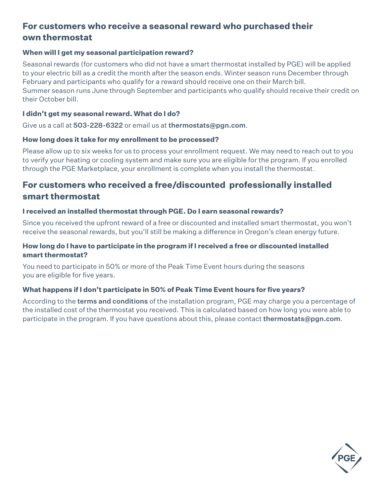# **For customers who receive a seasonal reward who purchased their own thermostat**

#### **When will I get my seasonal participation reward?**

Seasonal rewards (for customers who did not have a smart thermostat installed by PGE) will be applied to your electric bill as a credit the month after the season ends. Winter season runs December through February and participants who qualify for a reward should receive one on their March bill. Summer season runs June through September and participants who qualify should receive their credit on their October bill.

#### **I didn't get my seasonal reward. What do I do?**

Give us a call at 503-228-6322 or email us at [thermostats@pgn.com](mailto:thermostats@pgn.com).

#### **How long does it take for my enrollment to be processed?**

Please allow up to six weeks for us to process your enrollment request. We may need to reach out to you to verify your heating or cooling system and make sure you are eligible for the program. If you enrolled through the PGE Marketplace, your enrollment is complete when you install the thermostat.

# **For customers who received a free/discounted professionally installed smart thermostat**

#### **I received an installed thermostat through PGE. Do I earn seasonal rewards?**

Since you received the upfront reward of a free or discounted and installed smart thermostat, you won't receive the seasonal rewards, but you'll still be making a difference in Oregon's clean energy future.

#### **How long do I have to participate in the program if I received a free or discounted installed smart thermostat?**

You need to participate in 50% or more of the Peak Time Event hours during the seasons you are eligible for five years.

# **What happens if I don't participate in 50% of Peak Time Event hours for five years?**

According to the [terms and conditions](https://portlandgeneral.com/thermostatinstallterms) of the installation program, PGE may charge you a percentage of the installed cost of the thermostat you received. This is calculated based on how long you were able to participate in the program. If you have questions about this, please contact **[thermostats@pgn.com](mailto:thermostats@pgn.com)**.